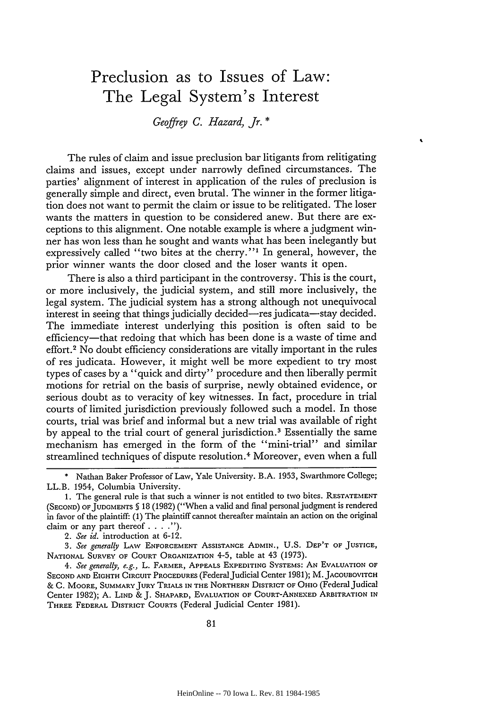# Preclusion as to Issues of Law: The Legal System's Interest

# *Geoffrey C. Hazard, Jr.* **\***

The rules of claim and issue preclusion bar litigants from relitigating claims and issues, except under narrowly defined circumstances. The parties' alignment of interest in application of the rules of preclusion is generally simple and direct, even brutal. The winner in the former litigation does not want to permit the claim or issue to be relitigated. The loser wants the matters in question to be considered anew. But there are exceptions to this alignment. One notable example is where a judgment winner has won less than he sought and wants what has been inelegantly but expressively called "two bites at the cherry."' In general, however, the prior winner wants the door closed and the loser wants it open.

There is also a third participant in the controversy. This is the court, or more inclusively, the judicial system, and still more inclusively, the legal system. The judicial system has a strong although not unequivocal interest in seeing that things judicially decided—res judicata—stay decided. The immediate interest underlying this position is often said to be efficiency-that redoing that which has been done is a waste of time and effort. 2 No doubt efficiency considerations are vitally important in the rules of res judicata. However, it might well be more expedient to try most types of cases by a "quick and dirty" procedure and then liberally permit motions for retrial on the basis of surprise, newly obtained evidence, or serious doubt as to veracity of key witnesses. In fact, procedure in trial courts of limited jurisdiction previously followed such a model. In those courts, trial was brief and informal but a new trial was available of right by appeal to the trial court of general jurisdiction.<sup>3</sup> Essentially the same mechanism has emerged in the form of the "mini-trial" and similar streamlined techniques of dispute resolution.<sup>4</sup> Moreover, even when a full

**<sup>\*</sup>** Nathan Baker Professor of Law, Yale University. B.A. 1953, Swarthmore College; LL.B. 1954, Columbia University.

<sup>1.</sup> The general rule is that such a winner is not entitled to two bites. **RESTATEMENT (SECOND) OFJUDGMENTS §** 18 (1982) ("When a valid and final personal judgment is rendered in favor of the plaintiff: (1) The plaintiff cannot thereafter maintain an action on the original claim or any part thereof **....").**

*<sup>2.</sup> See id.* introduction at 6-12.

*<sup>3.</sup> See generally* LAW **ENFORCEMENT ASSISTANCE ADMIN.,** U.S. DEP'T OF **JUSTICE,** NATIONAL SURVEY OF **COURT** ORGANIZATION 4-5, table at 43 (1973).

*<sup>4.</sup> See generally, e.g.,* L. FARMER, APPEALS EXPEDITING **SYSTEMS: AN EVALUATION** OF **SECOND AND EIGHTH** CIRCUIT PROCEDURES (Federal Judicial Center 1981); M. **JACOUBOVITCH** & C. MOORE, SUMMARY JURY TRIALS **IN** THE NORTHERN DISTRICT OF OHIO (Federal Judical Center 1982); A. LIND **&** J. SHAPARD, EVALUATION OF COURT-ANNEXED ARBITRATION **IN THREE** FEDERAL DISTRICT COURTS (Federal Judicial Center 1981).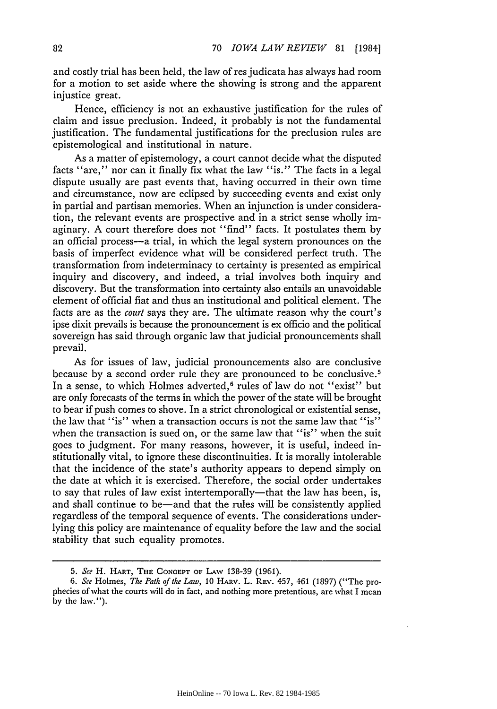and costly trial has been held, the law of res judicata has always had room for a motion to set aside where the showing is strong and the apparent injustice great.

Hence, efficiency is not an exhaustive justification for the rules of claim and issue preclusion. Indeed, it probably is not the fundamental justification. The fundamental justifications for the preclusion rules are epistemological and institutional in nature.

As a matter of epistemology, a court cannot decide what the disputed facts "are," nor can it finally fix what the law "is." The facts in a legal dispute usually are past events that, having occurred in their own time and circumstance, now are eclipsed by succeeding events and exist only in partial and partisan memories. When an injunction is under consideration, the relevant events are prospective and in a strict sense wholly imaginary. A court therefore does not "find" facts. It postulates them by an official process-a trial, in which the legal system pronounces on the basis of imperfect evidence what will be considered perfect truth. The transformation from indeterminacy to certainty is presented as empirical inquiry and discovery, and indeed, a trial involves both inquiry and discovery. But the transformation into certainty also entails an unavoidable element of official fiat and thus an institutional and political element. The facts are as the court says they are. The ultimate reason why the court's ipse dixit prevails is because the pronouncement is ex officio and the political sovereign has said through organic law that judicial pronouncements shall prevail.

As for issues of law, judicial pronouncements also are conclusive because by a second order rule they are pronounced to be conclusive. <sup>5</sup> In a sense, to which Holmes adverted,<sup>6</sup> rules of law do not "exist" but are only forecasts of the terms in which the power of the state will be brought to bear if push comes to shove. In a strict chronological or existential sense, the law that "is" when a transaction occurs is not the same law that "is" when the transaction is sued on, or the same law that "is" when the suit goes to judgment. For many reasons, however, it is useful, indeed institutionally vital, to ignore these discontinuities. It is morally intolerable that the incidence of the state's authority appears to depend simply on the date at which it is exercised. Therefore, the social order undertakes to say that rules of law exist intertemporally—that the law has been, is, and shall continue to be—and that the rules will be consistently applied regardless of the temporal sequence of events. The considerations underlying this policy are maintenance of equality before the law and the social stability that such equality promotes.

<sup>5.</sup> See H. HART, THE CONCEPT OF LAW 138-39 (1961).

*<sup>6.</sup> See* Holmes, *The Path of the Law,* 10 HARV. L. REv. 457, 461 (1897) ("The prophecies of what the courts will do in fact, and nothing more pretentious, are what I mean by the law.").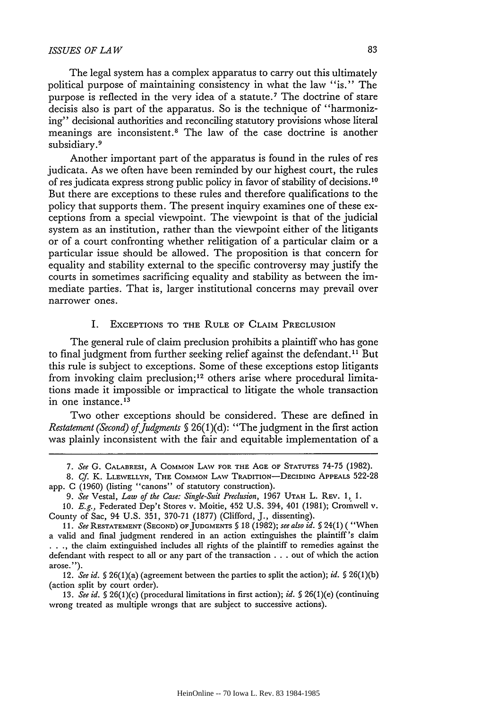The legal system has a complex apparatus to carry out this ultimately political purpose of maintaining consistency in what the law "is." The purpose is reflected in the very idea of a statute.<sup>7</sup> The doctrine of stare decisis also is part of the apparatus. So is the technique of "harmonizing" decisional authorities and reconciling statutory provisions whose literal meanings are inconsistent.<sup>8</sup> The law of the case doctrine is another subsidiary.<sup>9</sup>

Another important part of the apparatus is found in the rules of res judicata. As we often have been reminded by our highest court, the rules of res judicata express strong public policy in favor of stability of decisions.10 But there are exceptions to these rules and therefore qualifications to the policy that supports them. The present inquiry examines one of these exceptions from a special viewpoint. The viewpoint is that of the judicial system as an institution, rather than the viewpoint either of the litigants or of a court confronting whether relitigation of a particular claim or a particular issue should be allowed. The proposition is that concern for equality and stability external to the specific controversy may justify the courts in sometimes sacrificing equality and stability as between the immediate parties. That is, larger institutional concerns may prevail over narrower ones.

#### I. EXCEPTIONS TO THE RULE OF CLAIM PRECLUSION

The general rule of claim preclusion prohibits a plaintiff who has gone to final judgment from further seeking relief against the defendant.<sup>11</sup> But this rule is subject to exceptions. Some of these exceptions estop litigants from invoking claim preclusion; 12 others arise where procedural limitations made it impossible or impractical to litigate the whole transaction in one instance.<sup>13</sup>

Two other exceptions should be considered. These are defined in *Restatement (Second) of Judgments* § 26(1)(d): "The judgment in the first action was plainly inconsistent with the fair and equitable implementation of a

13. *See id.* **§** 26(1)(c) (procedural limitations in first action); *id.* **§** 26(1)(e) (continuing wrong treated as multiple wrongs that are subject to successive actions).

*<sup>7.</sup> See* G. CALABRESI, A **COMMON** LAW FOR THE **AGE** OF STATUTES 74-75 (1982).

<sup>8.</sup> **Cf.** K. LLEWELLYN, THE COMMON LAW TRADITION-DECIDING APPEALS 522-28 app. C (1960) (listing "canons" of statutory construction).

<sup>9.</sup> *See* Vestal, *Law of the Case: Single-Suit Preclusion,* 1967 **UTAH** L. REv. 1, 1.

<sup>10.</sup> *E.g.,* Federated Dep't Stores v. Moitie, 452 U.S. 394, 401 (1981); Cromwell v. County of Sac, 94 U.S. 351, 370-71 (1877) (Clifford, J., dissenting).

<sup>11.</sup> *See* **RESTATEMENT (SECOND) OF JUDGMENTS §** 18 (1982); *see also id.* **§** 24(1) ( "When a valid and final judgment rendered in an action extinguishes the plaintiff's claim ..., the claim extinguished includes all rights of the plaintiff to remedies against the defendant with respect to all or any part of the transaction  $\dots$  out of which the action arose.").

<sup>12.</sup> *See id.* **§** 26(1)(a) (agreement between the parties to split the action); *id.* **§** 26(1)(b) (action split by court order).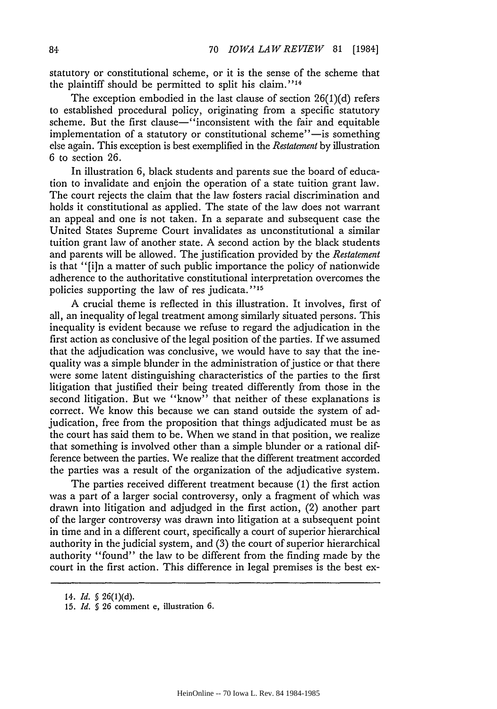statutory or constitutional scheme, or it is the sense of the scheme that the plaintiff should be permitted to split his claim."<sup>14</sup>

The exception embodied in the last clause of section  $26(1)(d)$  refers to established procedural policy, originating from a specific statutory scheme. But the first clause—"inconsistent with the fair and equitable implementation of a statutory or constitutional scheme"-is something else again. This exception is best exemplified in the *Restatement* by illustration 6 to section 26.

In illustration 6, black students and parents sue the board of education to invalidate and enjoin the operation of a state tuition grant law. The court rejects the claim that the law fosters racial discrimination and holds it constitutional as applied. The state of the law does not warrant an appeal and one is not taken. In a separate and subsequent case the United States Supreme Court invalidates as unconstitutional a similar tuition grant law of another state. A second action by the black students and parents will be allowed. The justification provided by the *Restatement* is that "[i]n a matter of such public importance the policy of nationwide adherence to the authoritative constitutional interpretation overcomes the policies supporting the law of res judicata."<sup>15</sup>

A crucial theme is reflected in this illustration. It involves, first of all, an inequality of legal treatment among similarly situated persons. This inequality is evident because we refuse to regard the adjudication in the first action as conclusive of the legal position of the parties. If we assumed that the adjudication was conclusive, we would have to say that the inequality was a simple blunder in the administration of justice or that there were some latent distinguishing characteristics of the parties to the first litigation that justified their being treated differently from those in the second litigation. But we "know" that neither of these explanations is correct. We know this because we can stand outside the system of adjudication, free from the proposition that things adjudicated must be as the court has said them to be. When we stand in that position, we realize that something is involved other than a simple blunder or a rational difference between the parties. We realize that the different treatment accorded the parties was a result of the organization of the adjudicative system.

The parties received different treatment because (1) the first action was a part of a larger social controversy, only a fragment of which was drawn into litigation and adjudged in the first action, (2) another part of the larger controversy was drawn into litigation at a subsequent point in time and in a different court, specifically a court of superior hierarchical authority in the judicial system, and (3) the court of superior hierarchical authority "found" the law to be different from the finding made by the court in the first action. This difference in legal premises is the best ex-

<sup>14.</sup> *Id.* **26(c)(d).** *15.* Id. **§26** comment e, illustration **6.**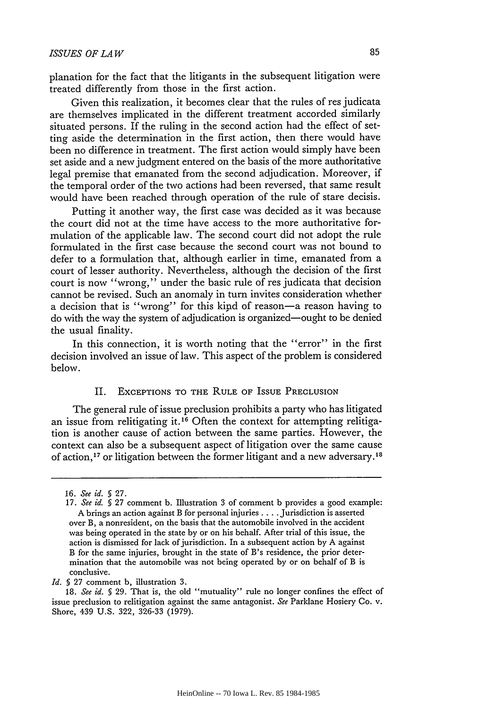planation for the fact that the litigants in the subsequent litigation were treated differently from those in the first action.

Given this realization, it becomes clear that the rules of res judicata are themselves implicated in the different treatment accorded similarly situated persons. If the ruling in the second action had the effect of setting aside the determination in the first action, then there would have been no difference in treatment. The first action would simply have been set aside and a new judgment entered on the basis of the more authoritative legal premise that emanated from the second adjudication. Moreover, if the temporal order of the two actions had been reversed, that same result would have been reached through operation of the rule of stare decisis.

Putting it another way, the first case was decided as it was because the court did not at the time have access to the more authoritative formulation of the applicable law. The second court did not adopt the rule formulated in the first case because the second court was not bound to defer to a formulation that, although earlier in time, emanated from a court of lesser authority. Nevertheless, although the decision of the first court is now "wrong," under the basic rule of res judicata that decision cannot be revised. Such an anomaly in turn invites consideration whether a decision that is "wrong" for this kind of reason-a reason having to do with the way the system of adjudication is organized-ought to be denied the usual finality.

In this connection, it is worth noting that the "error" in the first decision involved an issue of law. This aspect of the problem is considered below.

# II. EXCEPTIONS TO THE RULE OF ISSUE PRECLUSION

The general rule of issue preclusion prohibits a party who has litigated an issue from relitigating it. **16** Often the context for attempting relitigation is another cause of action between the same parties. However, the context can also be a subsequent aspect of litigation over the same cause of action, 17 or litigation between the former litigant and a new adversary.18

18. *See id. §* 29. That is, the old "mutuality" rule no longer confines the effect of issue preclusion to relitigation against the same antagonist. *See* Parklane Hosiery Co. v. Shore, 439 U.S. 322, 326-33 (1979).

<sup>16.</sup> *See id. §* 27.

<sup>17.</sup> *See id. §* 27 comment b. Illustration 3 of comment b provides a good example: A brings an action against B for personal injuries **....** Jurisdiction is asserted over B, a nonresident, on the basis that the automobile involved in the accident was being operated in the state by or on his behalf. After trial of this issue, the action is dismissed for lack of jurisdiction. In a subsequent action by A against B for the same injuries, brought in the state of B's residence, the prior determination that the automobile was not being operated by or on behalf of B is conclusive.

*Id. §* 27 comment b, illustration 3.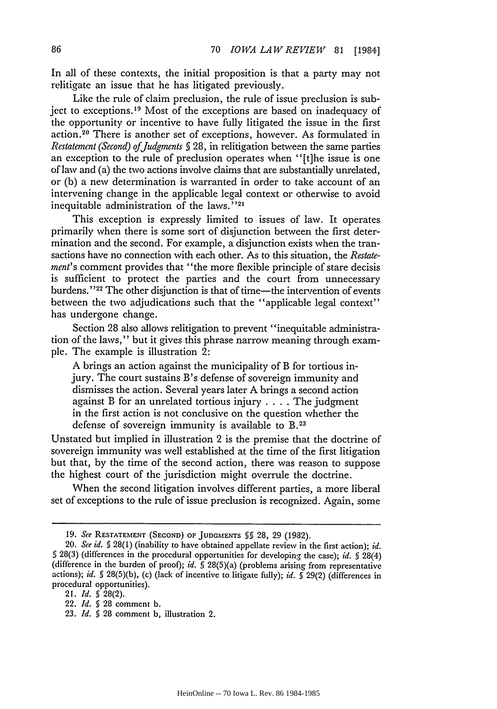In all of these contexts, the initial proposition is that a party may not relitigate an issue that he has litigated previously.

Like the rule of claim preclusion, the rule of issue preclusion is subject to exceptions.<sup>19</sup> Most of the exceptions are based on inadequacy of the opportunity or incentive to have fully litigated the issue in the first action. 20 There is another set of exceptions, however. As formulated in *Restatement (Second) of Judgments* § 28, in relitigation between the same parties an exception to the rule of preclusion operates when "[t]he issue is one of law and (a) the two actions involve claims that are substantially unrelated, or (b) a new determination is warranted in order to take account of an intervening change in the applicable legal context or otherwise to avoid inequitable administration of the laws." $21$ 

This exception is expressly limited to issues of law. It operates primarily when there is some sort of disjunction between the first determination and the second. For example, a disjunction exists when the transactions have no connection with each other. As to this situation, the *Restatement's* comment provides that "the more flexible principle of stare decisis is sufficient to protect the parties and the court from unnecessary burdens.' **'22** The other disjunction is that of time-the intervention of events between the two adjudications such that the "applicable legal context" has undergone change.

Section 28 also allows relitigation to prevent "inequitable administration of the laws," but it gives this phrase narrow meaning through example. The example is illustration 2:

A brings an action against the municipality of B for tortious injury. The court sustains B's defense of sovereign immunity and dismisses the action. Several years later A brings a second action against B for an unrelated tortious injury .**. .** .The judgment in the first action is not conclusive on the question whether the defense of sovereign immunity is available to B.<sup>23</sup>

Unstated but implied in illustration 2 is the premise that the doctrine of sovereign immunity was well established at the time of the first litigation but that, by the time of the second action, there was reason to suppose the highest court of the jurisdiction might overrule the doctrine.

When the second litigation involves different parties, a more liberal set of exceptions to the rule of issue preclusion is recognized. Again, some

**<sup>19.</sup>** *See* **RESTATEMENT (SECOND)** OF **JUDGMENTS §§** 28, 29 (1982).

<sup>20.</sup> *See id.* **§** 28(1) (inability to have obtained appellate review in the first action); *id.* § 28(3) (differences in the procedural opportunities for developing the case); *id.* **§** 28(4) (difference in the burden of proof); *id.* **f)** 28(5)(a) (problems arising from representative actions); *id.* **§** 28(5)(b), (c) (lack of incentive to litigate fully); *id.* **§** 29(2) (differences in procedural opportunities).

<sup>21.</sup> *Id.* **§** 28(2).

<sup>22.</sup> *Id.* **§** 28 comment b.

<sup>23.</sup> *Id.* **§** 28 comment b, illustration 2.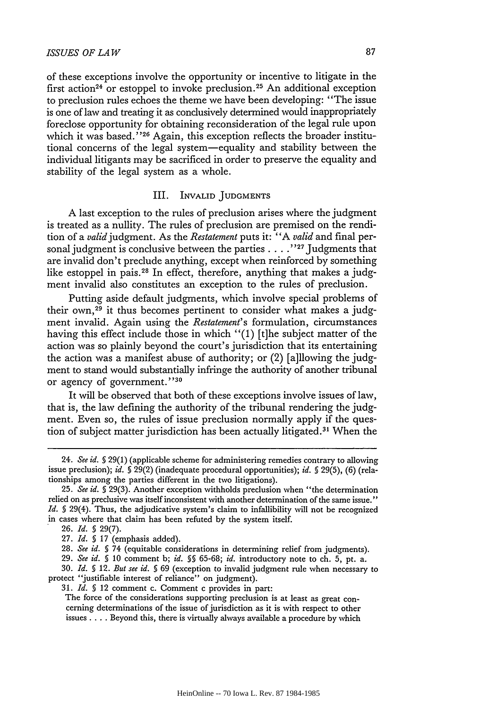of these exceptions involve the opportunity or incentive to litigate in the first action<sup>24</sup> or estoppel to invoke preclusion.<sup>25</sup> An additional exception to preclusion rules echoes the theme we have been developing: "The issue is one of law and treating it as conclusively determined would inappropriately foreclose opportunity for obtaining reconsideration of the legal rule upon which it was based."<sup>26</sup> Again, this exception reflects the broader institutional concerns of the legal system-equality and stability between the individual litigants may be sacrificed in order to preserve the equality and stability of the legal system as a whole.

## III. INVALID **JUDGMENTS**

A last exception to the rules of preclusion arises where the judgment is treated as a nullity. The rules of preclusion are premised on the rendition of a *valid* judgment. As the *Restatement* puts it: "A *valid* and final personal judgment is conclusive between the parties .... **,,27** Judgments that are invalid don't preclude anything, except when reinforced by something like estoppel in pais.<sup>28</sup> In effect, therefore, anything that makes a judgment invalid also constitutes an exception to the rules of preclusion.

Putting aside default judgments, which involve special problems of their own,29 it thus becomes pertinent to consider what makes a judgment invalid. Again using the *Restatement's* formulation, circumstances having this effect include those in which "(1) [t]he subject matter of the action was so plainly beyond the court's jurisdiction that its entertaining the action was a manifest abuse of authority; or (2) [a]llowing the judgment to stand would substantially infringe the authority of another tribunal or agency of government.' **'30**

It will be observed that both of these exceptions involve issues of law, that is, the law defining the authority of the tribunal rendering the judgment. Even so, the rules of issue preclusion normally apply if the question of subject matter jurisdiction has been actually litigated. 31 When the

29. *See id. §* 10 comment b; *id. §§* 65-68; *id.* introductory note to ch. 5, pt. a.

30. *Id. §* 12. *But see id. §* 69 (exception to invalid judgment rule when necessary to protect "justifiable interest of reliance" on judgment).

31. *Id. §* 12 comment c. Comment c provides in part:

The force of the considerations supporting preclusion is at least as great concerning determinations of the issue of jurisdiction as it is with respect to other issues .... Beyond this, there is virtually always available a procedure by which

<sup>24.</sup> *See id. §* 29(1) (applicable scheme for administering remedies contrary to allowing issue preclusion); *id. §* 29(2) (inadequate procedural opportunities); *id. §* 29(5), (6) (relationships among the parties different in the two litigations).

<sup>25.</sup> *See id. §* 29(3). Another exception withholds preclusion when "the determination relied on as preclusive was itself inconsistent with another determination of the same issue." *Id.* § 29(4). Thus, the adjudicative system's claim to infallibility will not be recognized in cases where that claim has been refuted by the system itself.

<sup>26.</sup> *Id. §* 29(7).

<sup>27.</sup> *Id. §* 17 (emphasis added).

<sup>28.</sup> *See id. §* 74 (equitable considerations in determining relief from judgments).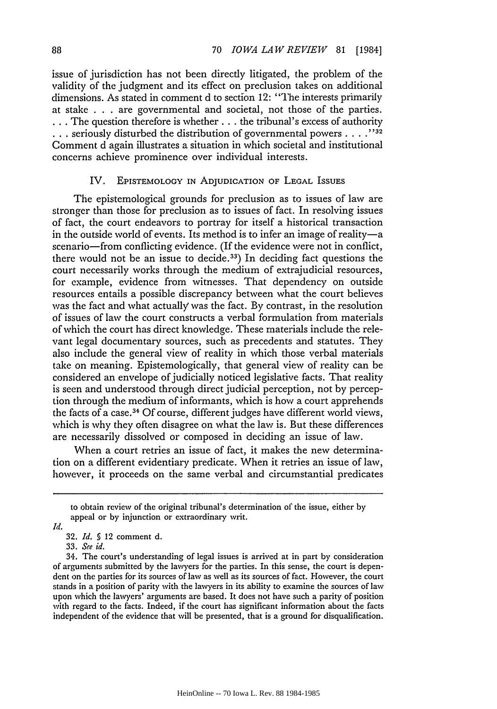issue of jurisdiction has not been directly litigated, the problem of the validity of the judgment and its effect on preclusion takes on additional dimensions. As stated in comment d to section 12: "The interests primarily at stake . . .are governmental and societal, not those of the parties. ... The question therefore is whether... the tribunal's excess of authority **...** seriously disturbed the distribution of governmental powers ....<sup>132</sup> Comment d again illustrates a situation in which societal and institutional concerns achieve prominence over individual interests.

#### IV. EPISTEMOLOGY IN ADJUDICATION OF **LEGAL ISSUES**

The epistemological grounds for preclusion as to issues of law are stronger than those for preclusion as to issues of fact. In resolving issues of fact, the court endeavors to portray for itself a historical transaction in the outside world of events. Its method is to infer an image of reality-a scenario-from conflicting evidence. (If the evidence were not in conflict, there would not be an issue to decide.<sup>33</sup>) In deciding fact questions the court necessarily works through the medium of extrajudicial resources, for example, evidence from witnesses. That dependency on outside resources entails a possible discrepancy between what the court believes was the fact and what actually was the fact. By contrast, in the resolution of issues of law the court constructs a verbal formulation from materials of which the court has direct knowledge. These materials include the relevant legal documentary sources, such as precedents and statutes. They also include the general view of reality in which those verbal materials take on meaning. Epistemologically, that general view of reality can be considered an envelope of judicially noticed legislative facts. That reality is seen and understood through direct judicial perception, not by perception through the medium of informants, which is how a court apprehends the facts of a case.34 Of course, different judges have different world views, which is why they often disagree on what the law is. But these differences are necessarily dissolved or composed in deciding an issue of law.

When a court retries an issue of fact, it makes the new determination on a different evidentiary predicate. When it retries an issue of law, however, it proceeds on the same verbal and circumstantial predicates

to obtain review of the original tribunal's determination of the issue, either by appeal or by injunction or extraordinary writ.

*id.*

<sup>32.</sup> *Id.* **§** 12 comment d.

<sup>33.</sup> *See id.*

<sup>34,</sup> The court's understanding of legal issues is arrived at in part by consideration of arguments submitted by the lawyers for the parties. In this sense, the court is dependent on the parties for its sources of law as well as its sources of fact. However, the court stands in a position of parity with the lawyers in its ability to examine the sources of law upon which the lawyers' arguments are based. It does not have such a parity of position with regard to the facts. Indeed, if the court has significant information about the facts independent of the evidence that will be presented, that is a ground for disqualification.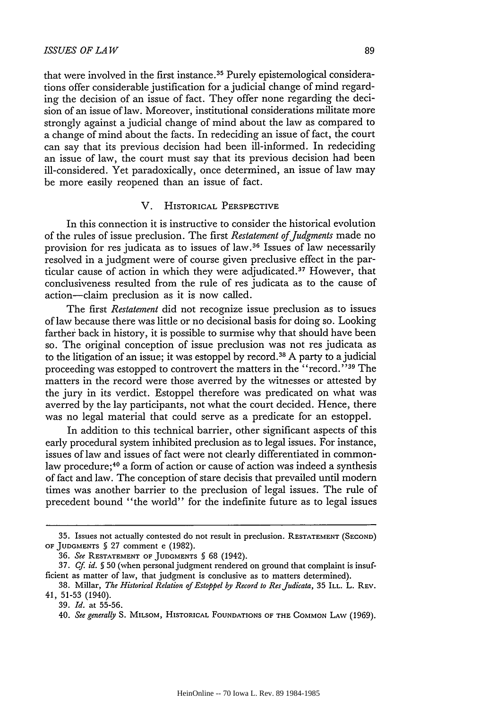that were involved in the first instance. 35 Purely epistemological considerations offer considerable justification for a judicial change of mind regarding the decision of an issue of fact. They offer none regarding the decision of an issue of law. Moreover, institutional considerations militate more strongly against a judicial change of mind about the law as compared to a change of mind about the facts. In redeciding an issue of fact, the court can say that its previous decision had been ill-informed. In redeciding an issue of law, the court must say that its previous decision had been ill-considered. Yet paradoxically, once determined, an issue of law may be more easily reopened than an issue of fact.

#### V. HISTORICAL PERSPECTIVE

In this connection it is instructive to consider the historical evolution of the rules of issue preclusion. The first *Restatement ofJudgments* made no provision for res judicata as to issues of law.<sup>36</sup> Issues of law necessarily resolved in a judgment were of course given preclusive effect in the particular cause of action in which they were adjudicated.<sup>37</sup> However, that conclusiveness resulted from the rule of res judicata as to the cause of action-claim preclusion as it is now called.

The first *Restatement* did not recognize issue preclusion as to issues of law because there was little or no decisional basis for doing so. Looking farther back in history, it is possible to surmise why that should have been so. The original conception of issue preclusion was not res judicata as to the litigation of an issue; it was estoppel by record. 38 A party to a judicial proceeding was estopped to controvert the matters in the "record."<sup>39</sup> The matters in the record were those averred by the witnesses or attested by the jury in its verdict. Estoppel therefore was predicated on what was averred by the lay participants, not what the court decided. Hence, there was no legal material that could serve as a predicate for an estoppel.

In addition to this technical barrier, other significant aspects of this early procedural system inhibited preclusion as to legal issues. For instance, issues of law and issues of fact were not clearly differentiated in commonlaw procedure;<sup>40</sup> a form of action or cause of action was indeed a synthesis of fact and law. The conception of stare decisis that prevailed until modern times was another barrier to the preclusion of legal issues. The rule of precedent bound "the world" for the indefinite future as to legal issues

**<sup>35.</sup>** Issues not actually contested do not result in preclusion. **RESTATEMENT (SECOND)** OF JUDGMENTS **§** 27 comment e (1982).

<sup>36.</sup> See **RESTATEMENT** OF JUDGMENTS **§** 68 (1942).

<sup>37.</sup> *Cf id. §* 50 (when personal judgment rendered on ground that complaint is insufficient as matter of law, that judgment is conclusive as to matters determined).

<sup>38.</sup> Millar, *The Historical Relation of Estoppel* by *Record to ResJudicata,* 35 ILL. L. REV. 41, 51-53 (1940).

<sup>39.</sup> *Id.* at 55-56.

<sup>40.</sup> See generally **S.** MILSOM, HISTORICAL **FOUNDATIONS** OF **THE COMMON LAW** (1969).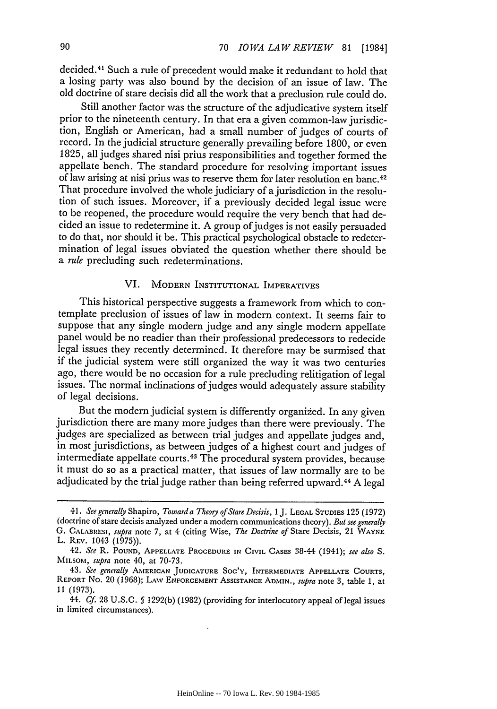decided. 41 Such a rule of precedent would make it redundant to hold that a losing party was also bound by the decision of an issue of law. The old doctrine of stare decisis did all the work that a preclusion rule could do.

Still another factor was the structure of the adjudicative system itself prior to the nineteenth century. In that era a given common-law jurisdiction, English or American, had a small number of judges of courts of record. In the judicial structure generally prevailing before 1800, or even 1825, all judges shared nisi prius responsibilities and together formed the appellate bench. The standard procedure for resolving important issues of law arising at nisi prius was to reserve them for later resolution en banc. <sup>42</sup> That procedure involved the whole judiciary of a jurisdiction in the resolution of such issues. Moreover, if a previously decided legal issue were to be reopened, the procedure would require the very bench that had decided an issue to redetermine it. A group of judges is not easily persuaded to do that, nor should it be. This practical psychological obstacle to redetermination of legal issues obviated the question whether there should be *a rule* precluding such redeterminations.

# VI. MODERN INSTITUTIONAL IMPERATIVES

This historical perspective suggests a framework from which to contemplate preclusion of issues of law in modern context. It seems fair to suppose that any single modern judge and any single modern appellate panel would be no readier than their professional predecessors to redecide legal issues they recently determined. It therefore may be surmised that if the judicial system were still organized the way it was two centuries ago, there would be no occasion for a rule precluding relitigation of legal issues. The normal inclinations of judges would adequately assure stability of legal decisions.

But the modern judicial system is differently organized. In any given jurisdiction there are many more judges than there were previously. The judges are specialized as between trial judges and appellate judges and, in most jurisdictions, as between judges of a highest court and judges of intermediate appellate courts. 43 The procedural system provides, because it must do so as a practical matter, that issues of law normally are to be adjudicated by the trial judge rather than being referred upward.<sup>44</sup> A legal

**<sup>41.</sup>** *See generally* Shapiro, *Toward a Theory of Stare Decisis, I* J. **LEGAL STUDIES** 125 (1972) (doctrine of stare decisis analyzed under a modem communications theory). *But see generally* **G.** CALAIRESI, supra note 7, at 4 (citing Wise, *The Doctrine of* Stare Decisis, 21 WAYNE L. **REV.** 1043 (1975)).

<sup>42.</sup> *See* R. **POUND, APPELLATE** PROCEDURE **IN** CIVIL **CASES** 38-44 (1941); *see also S.* MILSOM, supra note 40, at 70-73.

<sup>43.</sup> *See generally* **AMERICAN JUDICATURE** Soc'Y, INTERMEDIATE **APPELLATE COURTS,** REPORT No. 20 (1968); LAW **ENFORCEMENT ASSISTANCE ADMIN.,** *supra* note 3, table 1, at 11 (1973).

<sup>44.</sup> *Cf.* 28 U.S.C. **5** 1292(b) (1982) (providing for interlocutory appeal of legal issues in limited circumstances).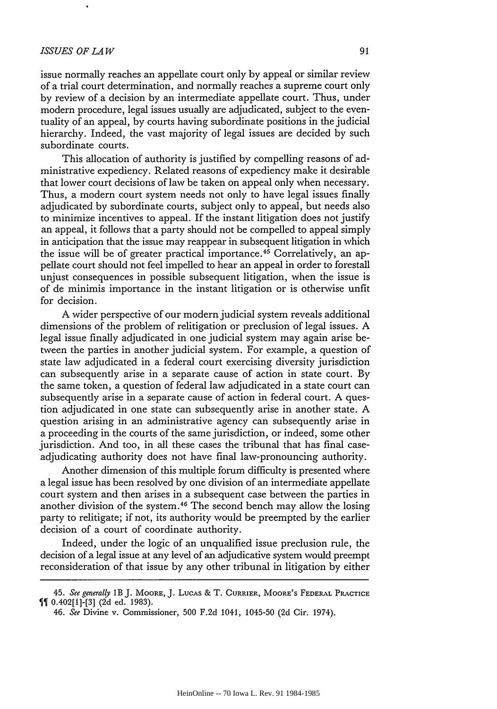issue normally reaches an appellate court only **by** appeal or similar review of a trial court determination, and normally reaches a supreme court only by review of a decision by an intermediate appellate court. Thus, under modern procedure, legal issues usually are adjudicated, subject to the eventuality of an appeal, by courts having subordinate positions in the judicial hierarchy. Indeed, the vast majority of legal issues are decided by such subordinate courts.

This allocation of authority is justified by compelling reasons of administrative expediency. Related reasons of expediency make it desirable that lower court decisions of law be taken on appeal only when necessary. Thus, a modern court system needs not only to have legal issues finally adjudicated by subordinate courts, subject only to appeal, but needs also to minimize incentives to appeal. If the instant litigation does not justify an appeal, it follows that a party should not be compelled to appeal simply in anticipation that the issue may reappear in subsequent litigation in which the issue will be of greater practical importance.<sup>45</sup> Correlatively, an appellate court should not feel impelled to hear an appeal in order to forestall unjust consequences in possible subsequent litigation, when the issue is of de minimis importance in the instant litigation or is otherwise unfit for decision.

A wider perspective of our modern judicial system reveals additional dimensions of the problem of relitigation or preclusion of legal issues. A legal issue finally adjudicated in one judicial system may again arise between the parties in another judicial system. For example, a question of state law adjudicated in a federal court exercising diversity jurisdiction can subsequently arise in a separate cause of action in state court. By the same token, a question of federal law adjudicated in a state court can subsequently arise in a separate cause of action in federal court. A question adjudicated in one state can subsequently arise in another state. A question arising in an administrative agency can subsequently arise in a proceeding in the courts of the same jurisdiction, or indeed, some other jurisdiction. And too, in all these cases the tribunal that has final caseadjudicating authority does not have final law-pronouncing authority.

Another dimension of this multiple forum difficulty is presented where a legal issue has been resolved by one division of an intermediate appellate court system and then arises in a subsequent case between the parties in another division of the system. $46$  The second bench may allow the losing party to relitigate; if not, its authority would be preempted by the earlier decision of a court of coordinate authority.

Indeed, under the logic of an unqualified issue preclusion rule, the decision of a legal issue at any level of an adjudicative system would preempt reconsideration of that issue by any other tribunal in litigation by either

<sup>45.</sup> *See generally* 1B J. MOORE, J. LUCAS *&* T. CURRIER, MOORE'S FEDERAL PRACTICE 0.402[1]-[3] (2d ed. 1983).

<sup>46.</sup> *See* Divine v. Commissioner, 500 F.2d 1041, 1045-50 (2d Cir. 1974).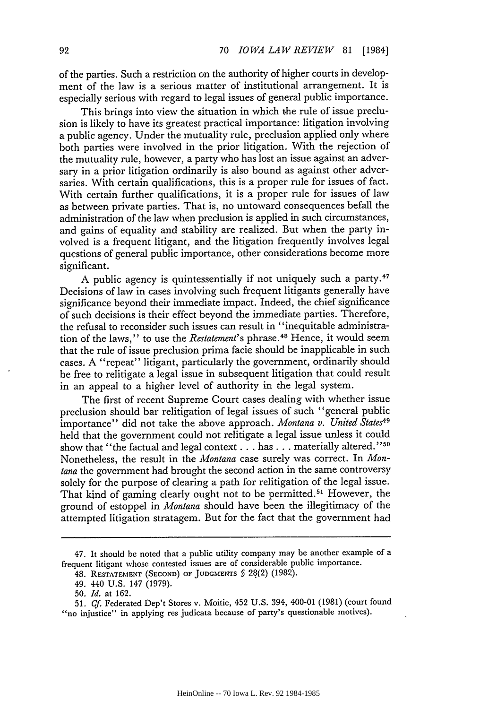of the parties. Such a restriction on the authority of higher courts in development of the law is a serious matter of institutional arrangement. It is especially serious with regard to legal issues of general public importance.

This brings into view the situation in which the rule of issue preclusion is likely to have its greatest practical importance: litigation involving a public agency. Under the mutuality rule, preclusion applied only where both parties were involved in the prior litigation. With the rejection of the mutuality rule, however, a party who has lost an issue against an adversary in a prior litigation ordinarily is also bound as against other adversaries. With certain qualifications, this is a proper rule for issues of fact. With certain further qualifications, it is a proper rule for issues of law as between private parties. That is, no untoward consequences befall the administration of the law when preclusion is applied in such circumstances, and gains of equality and stability are realized. But when the party involved is a frequent litigant, and the litigation frequently involves legal questions of general public importance, other considerations become more significant.

A public agency is quintessentially if not uniquely such a party.<sup>47</sup> Decisions of law in cases involving such frequent litigants generally have significance beyond their immediate impact. Indeed, the chief significance of such decisions is their effect beyond the immediate parties. Therefore, the refusal to reconsider such issues can result in "inequitable administration of the laws," to use the *Restatement's* phrase. 48 Hence, it would seem that the rule of issue preclusion prima facie should be inapplicable in such cases. A "repeat" litigant, particularly the government, ordinarily should be free to relitigate a legal issue in subsequent litigation that could result in an appeal to a higher level of authority in the legal system.

The first of recent Supreme Court cases dealing with whether issue preclusion should bar relitigation of legal issues of such "general public importance" did not take the above approach. *Montana v. United States49* held that the government could not relitigate a legal issue unless it could show that "the factual and legal context **...** has.., materially altered.' **'50** Nonetheless, the result in the *Montana* case surely was correct. In *Montana* the government had brought the second action in the same controversy solely for the purpose of clearing a path for relitigation of the legal issue. That kind of gaming clearly ought not to be permitted.<sup>51</sup> However, the ground of estoppel in *Montana* should have been the illegitimacy of the attempted litigation stratagem. But for the fact that the government had

<sup>47.</sup> It should be noted that a public utility company may be another example of a frequent litigant whose contested issues are of considerable public importance.

<sup>48.</sup> **RESTATEMENT (SECOND)** OF **JUDGMENTS §** 28(2) (1982).

<sup>49. 440</sup> U.S. 147 (1979).

**<sup>50.</sup>** *Id.* at **162.**

<sup>51.</sup> *Cf.* Federated Dep't Stores v. Moitie, 452 **U.S.** 394, 400-01 (1981) (court found *"no* injustice" in applying res judicata because of party's questionable motives).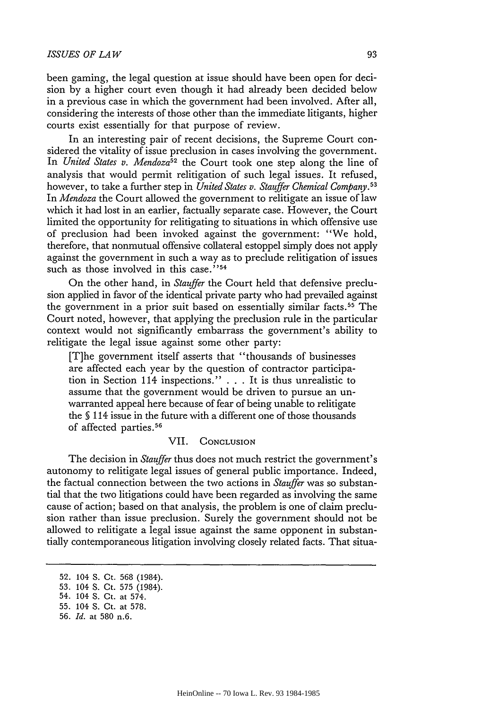been gaming, the legal question at issue should have been open for decision by a higher court even though it had already been decided below in a previous case in which the government had been involved. After all, considering the interests of those other than the immediate litigants, higher courts exist essentially for that purpose of review.

In an interesting pair of recent decisions, the Supreme Court considered the vitality of issue preclusion in cases involving the government. In *United States v. Mendoza<sup>52</sup>* the Court took one step along the line of analysis that would permit relitigation of such legal issues. It refused, however, to take a further step in *United States v. Stauffer Chemical Company.5 <sup>3</sup>* In *Mendoza* the Court allowed the government to relitigate an issue of law which it had lost in an earlier, factually separate case. However, the Court limited the opportunity for relitigating to situations in which offensive use of preclusion had been invoked against the government: "We hold, therefore, that nonmutual offensive collateral estoppel simply does not apply against the government in such a way as to preclude relitigation of issues such as those involved in this case."<sup>54</sup>

On the other hand, in *Stauffer* the Court held that defensive preclusion applied in favor of the identical private party who had prevailed against the government in a prior suit based on essentially similar facts.<sup>55</sup> The Court noted, however, that applying the preclusion rule in the particular context would not significantly embarrass the government's ability to relitigate the legal issue against some other party:

[T]he government itself asserts that "thousands of businesses are affected each year by the question of contractor participation in Section 114 inspections." . . . It is thus unrealistic to assume that the government would be driven to pursue an unwarranted appeal here because of fear of being unable to relitigate the **§** 114 issue in the future with a different one of those thousands of affected parties. <sup>56</sup>

### VII. **CONCLUSION**

The decision in *Stauffer* thus does not much restrict the government's autonomy to relitigate legal issues of general public importance. Indeed, the factual connection between the two actions in *Stauffer* was so substantial that the two litigations could have been regarded as involving the same cause of action; based on that analysis, the problem is one of claim preclusion rather than issue preclusion. Surely the government should not be allowed to relitigate a legal issue against the same opponent in substantially contemporaneous litigation involving closely related facts. That situa-

<sup>52. 104</sup> S. Ct. 568 (1984).

<sup>53. 104</sup> S. Ct. 575 (1984).

<sup>54. 104</sup> S. Ct. at 574.

<sup>55. 104</sup> S. Ct. at 578.

**<sup>56.</sup>** *Id.* at 580 n.6.